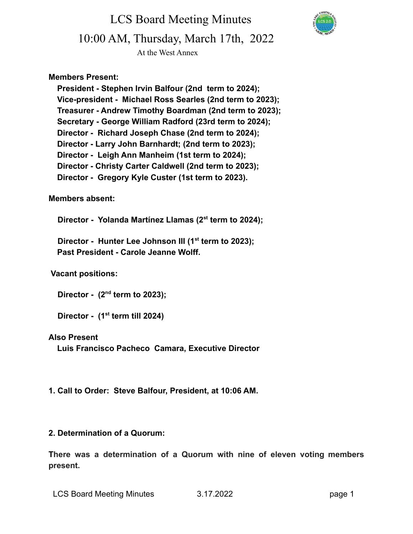LCS Board Meeting Minutes 10:00 AM, Thursday, March 17th, 2022



At the West Annex

#### **Members Present:**

**President - Stephen Irvin Balfour (2nd term to 2024); Vice-president - Michael Ross Searles (2nd term to 2023); Treasurer - Andrew Timothy Boardman (2nd term to 2023); Secretary - George William Radford (23rd term to 2024); Director - Richard Joseph Chase (2nd term to 2024); Director - Larry John Barnhardt; (2nd term to 2023); Director - Leigh Ann Manheim (1st term to 2024); Director - Christy Carter Caldwell (2nd term to 2023); Director - Gregory Kyle Custer (1st term to 2023).**

#### **Members absent:**

**Director - Yolanda Martínez Llamas (2st term to 2024);**

**Director - Hunter Lee Johnson III (1st term to 2023); Past President - Carole Jeanne Wolff.**

#### **Vacant positions:**

**Director - (2nd term to 2023);**

**Director - (1st term till 2024)**

#### **Also Present**

**Luis Francisco Pacheco Camara, Executive Director**

**1. Call to Order: Steve Balfour, President, at 10:06 AM.**

#### **2. Determination of a Quorum:**

**There was a determination of a Quorum with nine of eleven voting members present.**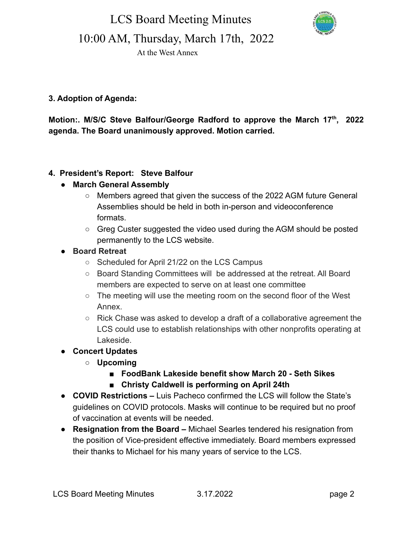LCS Board Meeting Minutes



10:00 AM, Thursday, March 17th, 2022

At the West Annex

### **3. Adoption of Agenda:**

**Motion:. M/S/C Steve Balfour/George Radford to approve the March 17th , 2022 agenda. The Board unanimously approved. Motion carried.**

#### **4. President's Report: Steve Balfour**

#### **● March General Assembly**

- Members agreed that given the success of the 2022 AGM future General Assemblies should be held in both in-person and videoconference formats.
- Greg Custer suggested the video used during the AGM should be posted permanently to the LCS website.
- **● Board Retreat**
	- Scheduled for April 21/22 on the LCS Campus
	- Board Standing Committees will be addressed at the retreat. All Board members are expected to serve on at least one committee
	- The meeting will use the meeting room on the second floor of the West Annex.
	- Rick Chase was asked to develop a draft of a collaborative agreement the LCS could use to establish relationships with other nonprofits operating at Lakeside.
- **● Concert Updates**
	- **○ Upcoming**
		- **■ FoodBank Lakeside benefit show March 20 Seth Sikes**
		- **Christy Caldwell is performing on April 24th**
- **● COVID Restrictions –** Luis Pacheco confirmed the LCS will follow the State's guidelines on COVID protocols. Masks will continue to be required but no proof of vaccination at events will be needed.
- **● Resignation from the Board –** Michael Searles tendered his resignation from the position of Vice-president effective immediately. Board members expressed their thanks to Michael for his many years of service to the LCS.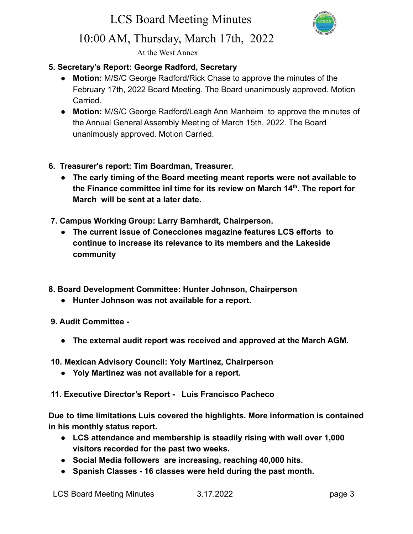# LCS Board Meeting Minutes



## 10:00 AM, Thursday, March 17th, 2022

At the West Annex

#### **5. Secretary's Report: George Radford, Secretary**

- **● Motion:** M/S/C George Radford/Rick Chase to approve the minutes of the February 17th, 2022 Board Meeting. The Board unanimously approved. Motion **Carried**
- **● Motion:** M/S/C George Radford/Leagh Ann Manheim to approve the minutes of the Annual General Assembly Meeting of March 15th, 2022. The Board unanimously approved. Motion Carried.
- **6. Treasurer's report: Tim Boardman, Treasurer.**
	- **● The early timing of the Board meeting meant reports were not available to the Finance committee inI time for its review on March 14th . The report for March will be sent at a later date.**
- **7. Campus Working Group: Larry Barnhardt, Chairperson.**
	- **● The current issue of Conecciones magazine features LCS efforts to continue to increase its relevance to its members and the Lakeside community**
- **8. Board Development Committee: Hunter Johnson, Chairperson**
	- **● Hunter Johnson was not available for a report.**
- **9. Audit Committee -**
	- **● The external audit report was received and approved at the March AGM.**
- **10. Mexican Advisory Council: Yoly Martinez, Chairperson**
	- **● Yoly Martinez was not available for a report.**
- **11. Executive Director's Report Luis Francisco Pacheco**

**Due to time limitations Luis covered the highlights. More information is contained in his monthly status report.**

- **● LCS attendance and membership is steadily rising with well over 1,000 visitors recorded for the past two weeks.**
- **● Social Media followers are increasing, reaching 40,000 hits.**
- **● Spanish Classes 16 classes were held during the past month.**